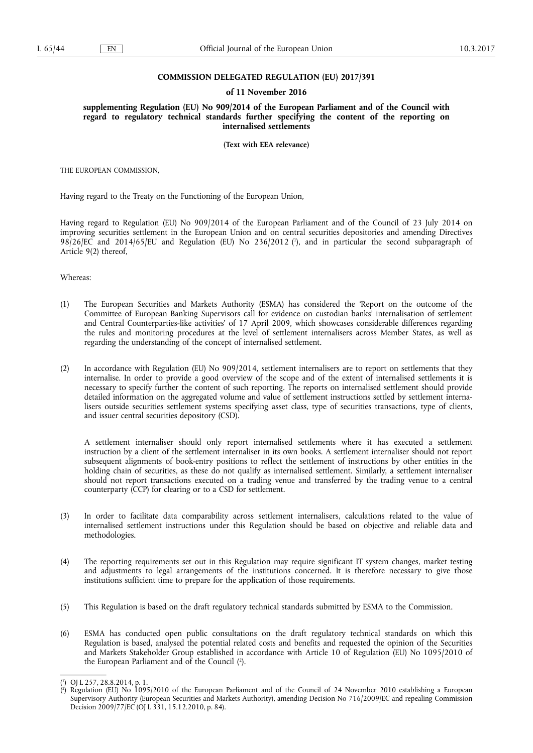### **COMMISSION DELEGATED REGULATION (EU) 2017/391**

### **of 11 November 2016**

**supplementing Regulation (EU) No 909/2014 of the European Parliament and of the Council with regard to regulatory technical standards further specifying the content of the reporting on internalised settlements** 

**(Text with EEA relevance)** 

THE EUROPEAN COMMISSION,

Having regard to the Treaty on the Functioning of the European Union,

Having regard to Regulation (EU) No 909/2014 of the European Parliament and of the Council of 23 July 2014 on improving securities settlement in the European Union and on central securities depositories and amending Directives 98/26/EC and 2014/65/EU and Regulation (EU) No 236/2012 ( 1 ), and in particular the second subparagraph of Article 9(2) thereof,

Whereas:

- (1) The European Securities and Markets Authority (ESMA) has considered the 'Report on the outcome of the Committee of European Banking Supervisors call for evidence on custodian banks' internalisation of settlement and Central Counterparties-like activities' of 17 April 2009, which showcases considerable differences regarding the rules and monitoring procedures at the level of settlement internalisers across Member States, as well as regarding the understanding of the concept of internalised settlement.
- (2) In accordance with Regulation (EU) No 909/2014, settlement internalisers are to report on settlements that they internalise. In order to provide a good overview of the scope and of the extent of internalised settlements it is necessary to specify further the content of such reporting. The reports on internalised settlement should provide detailed information on the aggregated volume and value of settlement instructions settled by settlement internalisers outside securities settlement systems specifying asset class, type of securities transactions, type of clients, and issuer central securities depository (CSD).

A settlement internaliser should only report internalised settlements where it has executed a settlement instruction by a client of the settlement internaliser in its own books. A settlement internaliser should not report subsequent alignments of book-entry positions to reflect the settlement of instructions by other entities in the holding chain of securities, as these do not qualify as internalised settlement. Similarly, a settlement internaliser should not report transactions executed on a trading venue and transferred by the trading venue to a central counterparty (CCP) for clearing or to a CSD for settlement.

- (3) In order to facilitate data comparability across settlement internalisers, calculations related to the value of internalised settlement instructions under this Regulation should be based on objective and reliable data and methodologies.
- (4) The reporting requirements set out in this Regulation may require significant IT system changes, market testing and adjustments to legal arrangements of the institutions concerned. It is therefore necessary to give those institutions sufficient time to prepare for the application of those requirements.
- (5) This Regulation is based on the draft regulatory technical standards submitted by ESMA to the Commission.
- (6) ESMA has conducted open public consultations on the draft regulatory technical standards on which this Regulation is based, analysed the potential related costs and benefits and requested the opinion of the Securities and Markets Stakeholder Group established in accordance with Article 10 of Regulation (EU) No 1095/2010 of the European Parliament and of the Council ( 2 ).

<sup>(</sup> 1 ) OJ L 257, 28.8.2014, p. 1.

<sup>(</sup> 2 ) Regulation (EU) No 1095/2010 of the European Parliament and of the Council of 24 November 2010 establishing a European Supervisory Authority (European Securities and Markets Authority), amending Decision No 716/2009/EC and repealing Commission Decision 2009/77/EC (OJ L 331, 15.12.2010, p. 84).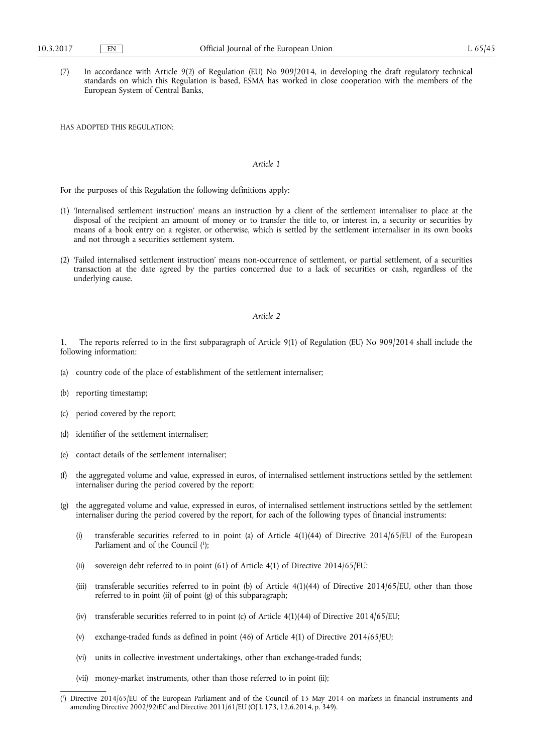(7) In accordance with Article 9(2) of Regulation (EU) No 909/2014, in developing the draft regulatory technical standards on which this Regulation is based, ESMA has worked in close cooperation with the members of the European System of Central Banks,

HAS ADOPTED THIS REGULATION:

## *Article 1*

For the purposes of this Regulation the following definitions apply:

- (1) 'Internalised settlement instruction' means an instruction by a client of the settlement internaliser to place at the disposal of the recipient an amount of money or to transfer the title to, or interest in, a security or securities by means of a book entry on a register, or otherwise, which is settled by the settlement internaliser in its own books and not through a securities settlement system.
- (2) 'Failed internalised settlement instruction' means non-occurrence of settlement, or partial settlement, of a securities transaction at the date agreed by the parties concerned due to a lack of securities or cash, regardless of the underlying cause.

### *Article 2*

1. The reports referred to in the first subparagraph of Article 9(1) of Regulation (EU) No 909/2014 shall include the following information:

- (a) country code of the place of establishment of the settlement internaliser;
- (b) reporting timestamp;
- (c) period covered by the report;
- (d) identifier of the settlement internaliser;
- (e) contact details of the settlement internaliser;
- (f) the aggregated volume and value, expressed in euros, of internalised settlement instructions settled by the settlement internaliser during the period covered by the report;
- (g) the aggregated volume and value, expressed in euros, of internalised settlement instructions settled by the settlement internaliser during the period covered by the report, for each of the following types of financial instruments:
	- (i) transferable securities referred to in point (a) of Article 4(1)(44) of Directive 2014/65/EU of the European Parliament and of the Council (1);
	- (ii) sovereign debt referred to in point (61) of Article 4(1) of Directive 2014/65/EU;
	- (iii) transferable securities referred to in point (b) of Article  $4(1)(44)$  of Directive 2014/65/EU, other than those referred to in point (ii) of point (g) of this subparagraph;
	- (iv) transferable securities referred to in point (c) of Article 4(1)(44) of Directive 2014/65/EU;
	- (v) exchange-traded funds as defined in point (46) of Article 4(1) of Directive 2014/65/EU;
	- (vi) units in collective investment undertakings, other than exchange-traded funds;
	- (vii) money-market instruments, other than those referred to in point (ii);

<sup>(</sup> 1 ) Directive 2014/65/EU of the European Parliament and of the Council of 15 May 2014 on markets in financial instruments and amending Directive 2002/92/EC and Directive 2011/61/EU (OJ L 173, 12.6.2014, p. 349).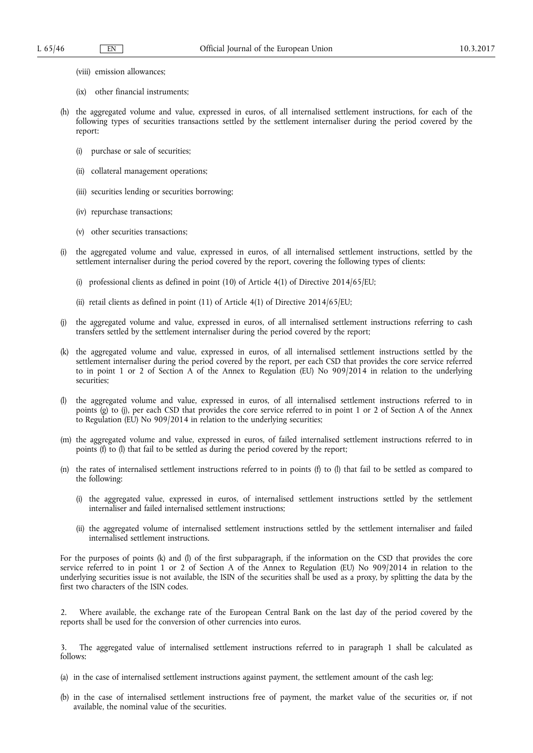- (viii) emission allowances;
- (ix) other financial instruments;
- (h) the aggregated volume and value, expressed in euros, of all internalised settlement instructions, for each of the following types of securities transactions settled by the settlement internaliser during the period covered by the report:
	- (i) purchase or sale of securities;
	- (ii) collateral management operations;
	- (iii) securities lending or securities borrowing;
	- (iv) repurchase transactions;
	- (v) other securities transactions;
- (i) the aggregated volume and value, expressed in euros, of all internalised settlement instructions, settled by the settlement internaliser during the period covered by the report, covering the following types of clients:
	- (i) professional clients as defined in point (10) of Article 4(1) of Directive 2014/65/EU;
	- (ii) retail clients as defined in point (11) of Article 4(1) of Directive 2014/65/EU;
- (j) the aggregated volume and value, expressed in euros, of all internalised settlement instructions referring to cash transfers settled by the settlement internaliser during the period covered by the report;
- (k) the aggregated volume and value, expressed in euros, of all internalised settlement instructions settled by the settlement internaliser during the period covered by the report, per each CSD that provides the core service referred to in point 1 or 2 of Section A of the Annex to Regulation (EU) No 909/2014 in relation to the underlying securities;
- (l) the aggregated volume and value, expressed in euros, of all internalised settlement instructions referred to in points (g) to (j), per each CSD that provides the core service referred to in point 1 or 2 of Section A of the Annex to Regulation (EU) No 909/2014 in relation to the underlying securities;
- (m) the aggregated volume and value, expressed in euros, of failed internalised settlement instructions referred to in points (f) to (l) that fail to be settled as during the period covered by the report;
- (n) the rates of internalised settlement instructions referred to in points (f) to (l) that fail to be settled as compared to the following:
	- (i) the aggregated value, expressed in euros, of internalised settlement instructions settled by the settlement internaliser and failed internalised settlement instructions;
	- (ii) the aggregated volume of internalised settlement instructions settled by the settlement internaliser and failed internalised settlement instructions.

For the purposes of points (k) and (l) of the first subparagraph, if the information on the CSD that provides the core service referred to in point 1 or 2 of Section A of the Annex to Regulation (EU) No 909/2014 in relation to the underlying securities issue is not available, the ISIN of the securities shall be used as a proxy, by splitting the data by the first two characters of the ISIN codes.

2. Where available, the exchange rate of the European Central Bank on the last day of the period covered by the reports shall be used for the conversion of other currencies into euros.

3. The aggregated value of internalised settlement instructions referred to in paragraph 1 shall be calculated as follows:

- (a) in the case of internalised settlement instructions against payment, the settlement amount of the cash leg;
- (b) in the case of internalised settlement instructions free of payment, the market value of the securities or, if not available, the nominal value of the securities.